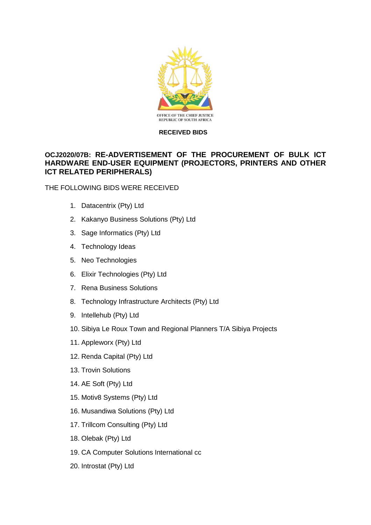

## **RECEIVED BIDS**

## **OCJ2020/07B: RE-ADVERTISEMENT OF THE PROCUREMENT OF BULK ICT HARDWARE END-USER EQUIPMENT (PROJECTORS, PRINTERS AND OTHER ICT RELATED PERIPHERALS)**

THE FOLLOWING BIDS WERE RECEIVED

- 1. Datacentrix (Pty) Ltd
- 2. Kakanyo Business Solutions (Pty) Ltd
- 3. Sage Informatics (Pty) Ltd
- 4. Technology Ideas
- 5. Neo Technologies
- 6. Elixir Technologies (Pty) Ltd
- 7. Rena Business Solutions
- 8. Technology Infrastructure Architects (Pty) Ltd
- 9. Intellehub (Pty) Ltd
- 10. Sibiya Le Roux Town and Regional Planners T/A Sibiya Projects
- 11. Appleworx (Pty) Ltd
- 12. Renda Capital (Pty) Ltd
- 13. Trovin Solutions
- 14. AE Soft (Pty) Ltd
- 15. Motiv8 Systems (Pty) Ltd
- 16. Musandiwa Solutions (Pty) Ltd
- 17. Trillcom Consulting (Pty) Ltd
- 18. Olebak (Pty) Ltd
- 19. CA Computer Solutions International cc
- 20. Introstat (Pty) Ltd